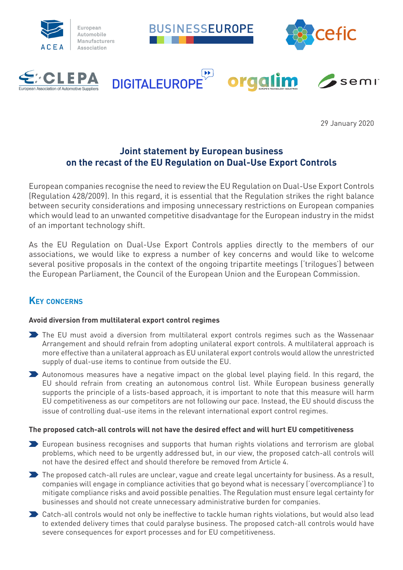

29 January 2020

# **Joint statement by European business on the recast of the EU Regulation on Dual-Use Export Controls**

European companies recognise the need to review the EU Regulation on Dual-Use Export Controls (Regulation 428/2009). In this regard, it is essential that the Regulation strikes the right balance between security considerations and imposing unnecessary restrictions on European companies which would lead to an unwanted competitive disadvantage for the European industry in the midst of an important technology shift.

As the EU Regulation on Dual-Use Export Controls applies directly to the members of our associations, we would like to express a number of key concerns and would like to welcome several positive proposals in the context of the ongoing tripartite meetings ('trilogues') between the European Parliament, the Council of the European Union and the European Commission.

## **Key concerns**

#### **Avoid diversion from multilateral export control regimes**

- The EU must avoid a diversion from multilateral export controls regimes such as the Wassenaar Arrangement and should refrain from adopting unilateral export controls. A multilateral approach is more effective than a unilateral approach as EU unilateral export controls would allow the unrestricted supply of dual-use items to continue from outside the EU.
- Autonomous measures have a negative impact on the global level playing field. In this regard, the EU should refrain from creating an autonomous control list. While European business generally supports the principle of a lists-based approach, it is important to note that this measure will harm EU competitiveness as our competitors are not following our pace. Instead, the EU should discuss the issue of controlling dual-use items in the relevant international export control regimes.

#### **The proposed catch-all controls will not have the desired effect and will hurt EU competitiveness**

- European business recognises and supports that human rights violations and terrorism are global problems, which need to be urgently addressed but, in our view, the proposed catch-all controls will not have the desired effect and should therefore be removed from Article 4.
- The proposed catch-all rules are unclear, vague and create legal uncertainty for business. As a result, companies will engage in compliance activities that go beyond what is necessary ('overcompliance') to mitigate compliance risks and avoid possible penalties. The Regulation must ensure legal certainty for businesses and should not create unnecessary administrative burden for companies.
- Catch-all controls would not only be ineffective to tackle human rights violations, but would also lead to extended delivery times that could paralyse business. The proposed catch-all controls would have severe consequences for export processes and for EU competitiveness.